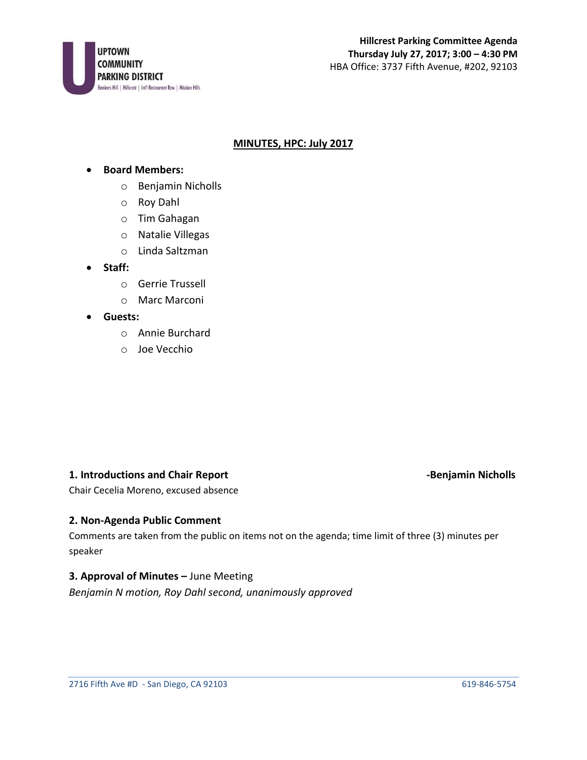

# **MINUTES, HPC: July 2017**

### • **Board Members:**

- o Benjamin Nicholls
- o Roy Dahl
- o Tim Gahagan
- o Natalie Villegas
- o Linda Saltzman
- **Staff:**
	- o Gerrie Trussell
	- o Marc Marconi
- **Guests:**
	- o Annie Burchard
	- o Joe Vecchio

# **1. Introductions and Chair Report Chair Access 2008 12 and 2018 12 and 2018 12 and 2018 12 and 2018 12 and 201**

Chair Cecelia Moreno, excused absence

# **2. Non-Agenda Public Comment**

Comments are taken from the public on items not on the agenda; time limit of three (3) minutes per speaker

# **3. Approval of Minutes - June Meeting**

*Benjamin N motion, Roy Dahl second, unanimously approved*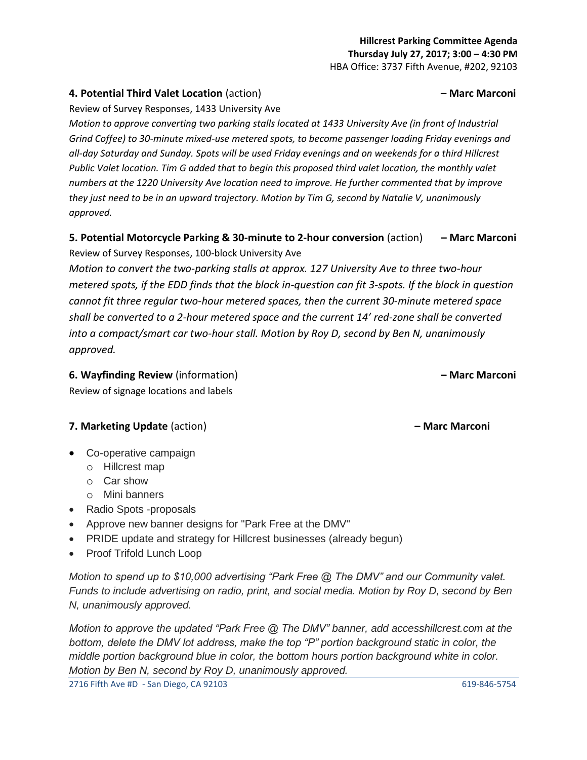# **Hillcrest Parking Committee Agenda Thursday July 27, 2017; 3:00 – 4:30 PM**

HBA Office: 3737 Fifth Avenue, #202, 92103

# **4. Potential Third Valet Location** (action) **– Marc Marconi**

Review of Survey Responses, 1433 University Ave

*Motion to approve converting two parking stalls located at 1433 University Ave (in front of Industrial Grind Coffee) to 30-minute mixed-use metered spots, to become passenger loading Friday evenings and all-day Saturday and Sunday. Spots will be used Friday evenings and on weekends for a third Hillcrest Public Valet location. Tim G added that to begin this proposed third valet location, the monthly valet numbers at the 1220 University Ave location need to improve. He further commented that by improve they just need to be in an upward trajectory. Motion by Tim G, second by Natalie V, unanimously approved.*

# **5. Potential Motorcycle Parking & 30-minute to 2-hour conversion** (action) **– Marc Marconi** Review of Survey Responses, 100-block University Ave

*Motion to convert the two-parking stalls at approx. 127 University Ave to three two-hour metered spots, if the EDD finds that the block in-question can fit 3-spots. If the block in question cannot fit three regular two-hour metered spaces, then the current 30-minute metered space shall be converted to a 2-hour metered space and the current 14' red-zone shall be converted into a compact/smart car two-hour stall. Motion by Roy D, second by Ben N, unanimously approved.* 

**6. Wayfinding Review** (information) **– Marc Marconi** Review of signage locations and labels

# **7. Marketing Update** (action) **– Marc Marconi**

- Co-operative campaign
	- o Hillcrest map
	- o Car show
	- o Mini banners
- Radio Spots -proposals
- Approve new banner designs for "Park Free at the DMV"
- PRIDE update and strategy for Hillcrest businesses (already begun)
- Proof Trifold Lunch Loop

*Motion to spend up to \$10,000 advertising "Park Free @ The DMV" and our Community valet. Funds to include advertising on radio, print, and social media. Motion by Roy D, second by Ben N, unanimously approved.*

*Motion to approve the updated "Park Free @ The DMV" banner, add accesshillcrest.com at the bottom, delete the DMV lot address, make the top "P" portion background static in color, the middle portion background blue in color, the bottom hours portion background white in color. Motion by Ben N, second by Roy D, unanimously approved.*